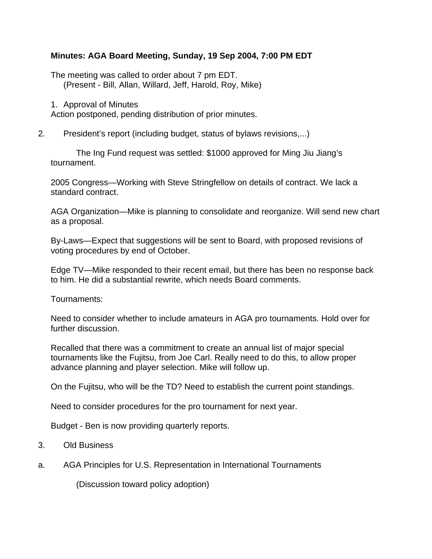## **Minutes: AGA Board Meeting, Sunday, 19 Sep 2004, 7:00 PM EDT**

The meeting was called to order about 7 pm EDT. (Present - Bill, Allan, Willard, Jeff, Harold, Roy, Mike)

1. Approval of Minutes

Action postponed, pending distribution of prior minutes.

2. President's report (including budget, status of bylaws revisions,...)

The Ing Fund request was settled: \$1000 approved for Ming Jiu Jiang's tournament.

2005 Congress—Working with Steve Stringfellow on details of contract. We lack a standard contract.

AGA Organization—Mike is planning to consolidate and reorganize. Will send new chart as a proposal.

By-Laws—Expect that suggestions will be sent to Board, with proposed revisions of voting procedures by end of October.

Edge TV—Mike responded to their recent email, but there has been no response back to him. He did a substantial rewrite, which needs Board comments.

Tournaments:

Need to consider whether to include amateurs in AGA pro tournaments. Hold over for further discussion.

Recalled that there was a commitment to create an annual list of major special tournaments like the Fujitsu, from Joe Carl. Really need to do this, to allow proper advance planning and player selection. Mike will follow up.

On the Fujitsu, who will be the TD? Need to establish the current point standings.

Need to consider procedures for the pro tournament for next year.

Budget - Ben is now providing quarterly reports.

- 3. Old Business
- a. AGA Principles for U.S. Representation in International Tournaments

(Discussion toward policy adoption)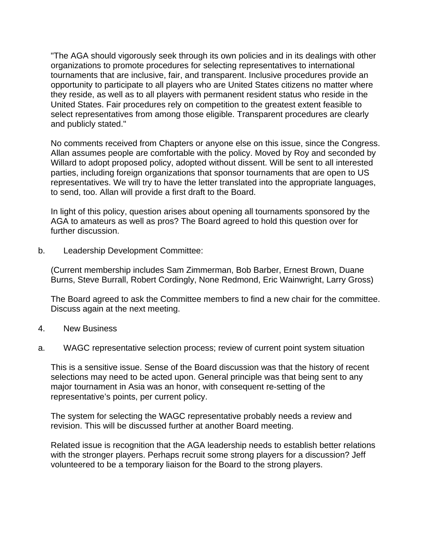"The AGA should vigorously seek through its own policies and in its dealings with other organizations to promote procedures for selecting representatives to international tournaments that are inclusive, fair, and transparent. Inclusive procedures provide an opportunity to participate to all players who are United States citizens no matter where they reside, as well as to all players with permanent resident status who reside in the United States. Fair procedures rely on competition to the greatest extent feasible to select representatives from among those eligible. Transparent procedures are clearly and publicly stated."

No comments received from Chapters or anyone else on this issue, since the Congress. Allan assumes people are comfortable with the policy. Moved by Roy and seconded by Willard to adopt proposed policy, adopted without dissent. Will be sent to all interested parties, including foreign organizations that sponsor tournaments that are open to US representatives. We will try to have the letter translated into the appropriate languages, to send, too. Allan will provide a first draft to the Board.

In light of this policy, question arises about opening all tournaments sponsored by the AGA to amateurs as well as pros? The Board agreed to hold this question over for further discussion.

b. Leadership Development Committee:

(Current membership includes Sam Zimmerman, Bob Barber, Ernest Brown, Duane Burns, Steve Burrall, Robert Cordingly, None Redmond, Eric Wainwright, Larry Gross)

The Board agreed to ask the Committee members to find a new chair for the committee. Discuss again at the next meeting.

- 4. New Business
- a. WAGC representative selection process; review of current point system situation

This is a sensitive issue. Sense of the Board discussion was that the history of recent selections may need to be acted upon. General principle was that being sent to any major tournament in Asia was an honor, with consequent re-setting of the representative's points, per current policy.

The system for selecting the WAGC representative probably needs a review and revision. This will be discussed further at another Board meeting.

Related issue is recognition that the AGA leadership needs to establish better relations with the stronger players. Perhaps recruit some strong players for a discussion? Jeff volunteered to be a temporary liaison for the Board to the strong players.